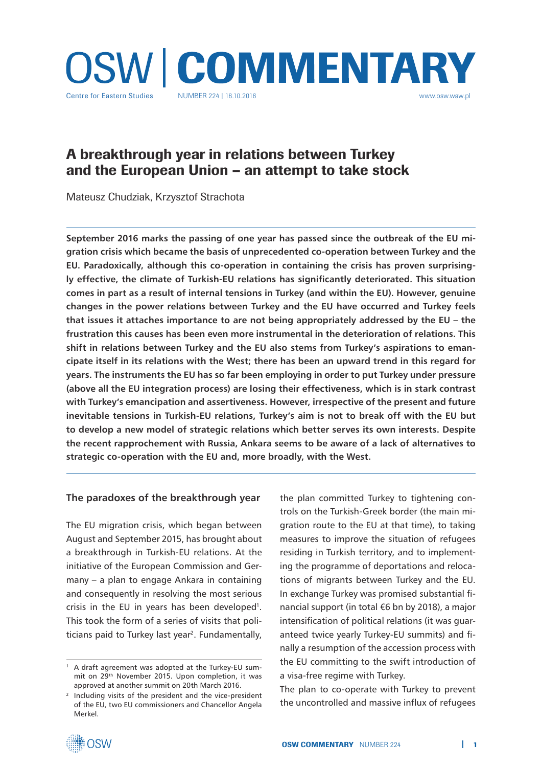

# A breakthrough year in relations between Turkey and the European Union – an attempt to take stock

Mateusz Chudziak, Krzysztof Strachota

**September 2016 marks the passing of one year has passed since the outbreak of the EU migration crisis which became the basis of unprecedented co-operation between Turkey and the EU. Paradoxically, although this co-operation in containing the crisis has proven surprisingly effective, the climate of Turkish-EU relations has significantly deteriorated. This situation comes in part as a result of internal tensions in Turkey (and within the EU). However, genuine changes in the power relations between Turkey and the EU have occurred and Turkey feels that issues it attaches importance to are not being appropriately addressed by the EU – the frustration this causes has been even more instrumental in the deterioration of relations. This shift in relations between Turkey and the EU also stems from Turkey's aspirations to emancipate itself in its relations with the West; there has been an upward trend in this regard for years. The instruments the EU has so far been employing in order to put Turkey under pressure (above all the EU integration process) are losing their effectiveness, which is in stark contrast with Turkey's emancipation and assertiveness. However, irrespective of the present and future inevitable tensions in Turkish-EU relations, Turkey's aim is not to break off with the EU but to develop a new model of strategic relations which better serves its own interests. Despite the recent rapprochement with Russia, Ankara seems to be aware of a lack of alternatives to strategic co-operation with the EU and, more broadly, with the West.** 

#### **The paradoxes of the breakthrough year**

The EU migration crisis, which began between August and September 2015, has brought about a breakthrough in Turkish-EU relations. At the initiative of the European Commission and Germany – a plan to engage Ankara in containing and consequently in resolving the most serious crisis in the EU in years has been developed<sup>1</sup>. This took the form of a series of visits that politicians paid to Turkey last year<sup>2</sup>. Fundamentally,

the plan committed Turkey to tightening controls on the Turkish-Greek border (the main migration route to the EU at that time), to taking measures to improve the situation of refugees residing in Turkish territory, and to implementing the programme of deportations and relocations of migrants between Turkey and the EU. In exchange Turkey was promised substantial financial support (in total €6 bn by 2018), a major intensification of political relations (it was guaranteed twice yearly Turkey-EU summits) and finally a resumption of the accession process with the EU committing to the swift introduction of a visa-free regime with Turkey.

The plan to co-operate with Turkey to prevent the uncontrolled and massive influx of refugees



<sup>1</sup> A draft agreement was adopted at the Turkey-EU summit on 29th November 2015. Upon completion, it was approved at another summit on 20th March 2016.

<sup>2</sup> Including visits of the president and the vice-president of the EU, two EU commissioners and Chancellor Angela Merkel.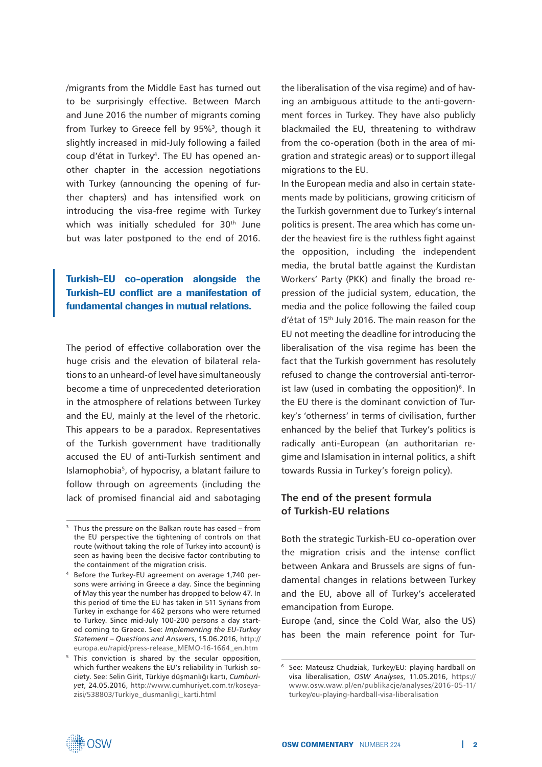/migrants from the Middle East has turned out to be surprisingly effective. Between March and June 2016 the number of migrants coming from Turkey to Greece fell by 95%<sup>3</sup>, though it slightly increased in mid-July following a failed coup d'état in Turkey4. The EU has opened another chapter in the accession negotiations with Turkey (announcing the opening of further chapters) and has intensified work on introducing the visa-free regime with Turkey which was initially scheduled for 30<sup>th</sup> June but was later postponed to the end of 2016.

## Turkish-EU co-operation alongside the Turkish-EU conflict are a manifestation of fundamental changes in mutual relations.

The period of effective collaboration over the huge crisis and the elevation of bilateral relations to an unheard-of level have simultaneously become a time of unprecedented deterioration in the atmosphere of relations between Turkey and the EU, mainly at the level of the rhetoric. This appears to be a paradox. Representatives of the Turkish government have traditionally accused the EU of anti-Turkish sentiment and Islamophobia<sup>5</sup>, of hypocrisy, a blatant failure to follow through on agreements (including the lack of promised financial aid and sabotaging the liberalisation of the visa regime) and of having an ambiguous attitude to the anti-government forces in Turkey. They have also publicly blackmailed the EU, threatening to withdraw from the co-operation (both in the area of migration and strategic areas) or to support illegal migrations to the EU.

In the European media and also in certain statements made by politicians, growing criticism of the Turkish government due to Turkey's internal politics is present. The area which has come under the heaviest fire is the ruthless fight against the opposition, including the independent media, the brutal battle against the Kurdistan Workers' Party (PKK) and finally the broad repression of the judicial system, education, the media and the police following the failed coup d'état of 15<sup>th</sup> July 2016. The main reason for the EU not meeting the deadline for introducing the liberalisation of the visa regime has been the fact that the Turkish government has resolutely refused to change the controversial anti-terrorist law (used in combating the opposition) $6$ . In the EU there is the dominant conviction of Turkey's 'otherness' in terms of civilisation, further enhanced by the belief that Turkey's politics is radically anti-European (an authoritarian regime and Islamisation in internal politics, a shift towards Russia in Turkey's foreign policy).

#### **The end of the present formula of Turkish-EU relations**

Both the strategic Turkish-EU co-operation over the migration crisis and the intense conflict between Ankara and Brussels are signs of fundamental changes in relations between Turkey and the EU, above all of Turkey's accelerated emancipation from Europe.

Europe (and, since the Cold War, also the US) has been the main reference point for Tur-



 $3$  Thus the pressure on the Balkan route has eased – from the EU perspective the tightening of controls on that route (without taking the role of Turkey into account) is seen as having been the decisive factor contributing to the containment of the migration crisis.

<sup>4</sup> Before the Turkey-EU agreement on average 1,740 persons were arriving in Greece a day. Since the beginning of May this year the number has dropped to below 47. In this period of time the EU has taken in 511 Syrians from Turkey in exchange for 462 persons who were returned to Turkey. Since mid-July 100-200 persons a day started coming to Greece. See: *Implementing the EU-Turkey Statement – Questions and Answers*, 15.06.2016, http:// europa.eu/rapid/press-release\_MEMO-16-1664\_en.htm

<sup>&</sup>lt;sup>5</sup> This conviction is shared by the secular opposition, which further weakens the EU's reliability in Turkish society. See: Selin Girit, Türkiye düşmanlığı kartı, *Cumhuriyet*, 24.05.2016, http://www.cumhuriyet.com.tr/koseyazisi/538803/Turkiye\_dusmanligi\_karti.html

<sup>6</sup> See: Mateusz Chudziak, Turkey/EU: playing hardball on visa liberalisation, *OSW Analyses*, 11.05.2016, https:// www.osw.waw.pl/en/publikacje/analyses/2016-05-11/ turkey/eu-playing-hardball-visa-liberalisation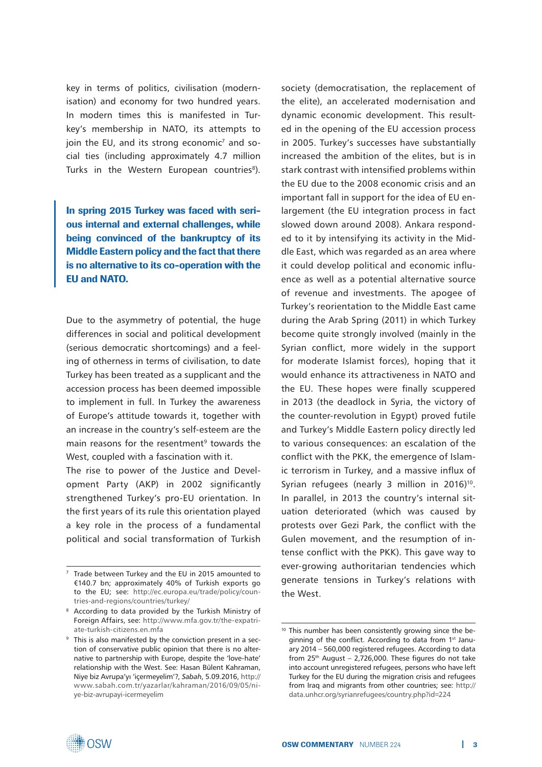key in terms of politics, civilisation (modernisation) and economy for two hundred years. In modern times this is manifested in Turkey's membership in NATO, its attempts to join the EU, and its strong economic<sup>7</sup> and social ties (including approximately 4.7 million Turks in the Western European countries<sup>8</sup>).

In spring 2015 Turkey was faced with serious internal and external challenges, while being convinced of the bankruptcy of its Middle Eastern policy and the fact that there is no alternative to its co-operation with the EU and NATO.

Due to the asymmetry of potential, the huge differences in social and political development (serious democratic shortcomings) and a feeling of otherness in terms of civilisation, to date Turkey has been treated as a supplicant and the accession process has been deemed impossible to implement in full. In Turkey the awareness of Europe's attitude towards it, together with an increase in the country's self-esteem are the main reasons for the resentment<sup>9</sup> towards the West, coupled with a fascination with it.

The rise to power of the Justice and Development Party (AKP) in 2002 significantly strengthened Turkey's pro-EU orientation. In the first years of its rule this orientation played a key role in the process of a fundamental political and social transformation of Turkish society (democratisation, the replacement of the elite), an accelerated modernisation and dynamic economic development. This resulted in the opening of the EU accession process in 2005. Turkey's successes have substantially increased the ambition of the elites, but is in stark contrast with intensified problems within the EU due to the 2008 economic crisis and an important fall in support for the idea of EU enlargement (the EU integration process in fact slowed down around 2008). Ankara responded to it by intensifying its activity in the Middle East, which was regarded as an area where it could develop political and economic influence as well as a potential alternative source of revenue and investments. The apogee of Turkey's reorientation to the Middle East came during the Arab Spring (2011) in which Turkey become quite strongly involved (mainly in the Syrian conflict, more widely in the support for moderate Islamist forces), hoping that it would enhance its attractiveness in NATO and the EU. These hopes were finally scuppered in 2013 (the deadlock in Syria, the victory of the counter-revolution in Egypt) proved futile and Turkey's Middle Eastern policy directly led to various consequences: an escalation of the conflict with the PKK, the emergence of Islamic terrorism in Turkey, and a massive influx of Syrian refugees (nearly 3 million in 2016)<sup>10</sup>. In parallel, in 2013 the country's internal situation deteriorated (which was caused by protests over Gezi Park, the conflict with the Gulen movement, and the resumption of intense conflict with the PKK). This gave way to ever-growing authoritarian tendencies which generate tensions in Turkey's relations with the West.

<sup>7</sup> Trade between Turkey and the EU in 2015 amounted to €140.7 bn; approximately 40% of Turkish exports go to the EU; see: http://ec.europa.eu/trade/policy/countries-and-regions/countries/turkey/

<sup>8</sup> According to data provided by the Turkish Ministry of Foreign Affairs, see: http://www.mfa.gov.tr/the-expatriate-turkish-citizens.en.mfa

<sup>&</sup>lt;sup>9</sup> This is also manifested by the conviction present in a section of conservative public opinion that there is no alternative to partnership with Europe, despite the 'love-hate' relationship with the West. See: Hasan Bülent Kahraman, Niye biz Avrupa'yı 'içermeyelim'?, *Sabah*, 5.09.2016, http:// www.sabah.com.tr/yazarlar/kahraman/2016/09/05/niye-biz-avrupayi-icermeyelim

<sup>&</sup>lt;sup>10</sup> This number has been consistently growing since the beginning of the conflict. According to data from 1st January 2014 – 560,000 registered refugees. According to data from  $25<sup>th</sup>$  August – 2,726,000. These figures do not take into account unregistered refugees, persons who have left Turkey for the EU during the migration crisis and refugees from Iraq and migrants from other countries; see: http:// data.unhcr.org/syrianrefugees/country.php?id=224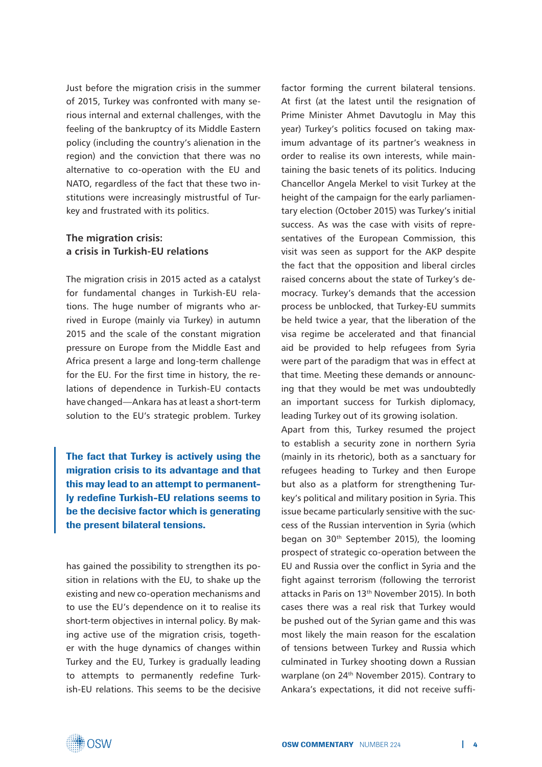Just before the migration crisis in the summer of 2015, Turkey was confronted with many serious internal and external challenges, with the feeling of the bankruptcy of its Middle Eastern policy (including the country's alienation in the region) and the conviction that there was no alternative to co-operation with the EU and NATO, regardless of the fact that these two institutions were increasingly mistrustful of Turkey and frustrated with its politics.

## **The migration crisis: a crisis in Turkish-EU relations**

The migration crisis in 2015 acted as a catalyst for fundamental changes in Turkish-EU relations. The huge number of migrants who arrived in Europe (mainly via Turkey) in autumn 2015 and the scale of the constant migration pressure on Europe from the Middle East and Africa present a large and long-term challenge for the EU. For the first time in history, the relations of dependence in Turkish-EU contacts have changed—Ankara has at least a short-term solution to the EU's strategic problem. Turkey

The fact that Turkey is actively using the migration crisis to its advantage and that this may lead to an attempt to permanently redefine Turkish-EU relations seems to be the decisive factor which is generating the present bilateral tensions.

has gained the possibility to strengthen its position in relations with the EU, to shake up the existing and new co-operation mechanisms and to use the EU's dependence on it to realise its short-term objectives in internal policy. By making active use of the migration crisis, together with the huge dynamics of changes within Turkey and the EU, Turkey is gradually leading to attempts to permanently redefine Turkish-EU relations. This seems to be the decisive factor forming the current bilateral tensions. At first (at the latest until the resignation of Prime Minister Ahmet Davutoglu in May this year) Turkey's politics focused on taking maximum advantage of its partner's weakness in order to realise its own interests, while maintaining the basic tenets of its politics. Inducing Chancellor Angela Merkel to visit Turkey at the height of the campaign for the early parliamentary election (October 2015) was Turkey's initial success. As was the case with visits of representatives of the European Commission, this visit was seen as support for the AKP despite the fact that the opposition and liberal circles raised concerns about the state of Turkey's democracy. Turkey's demands that the accession process be unblocked, that Turkey-EU summits be held twice a year, that the liberation of the visa regime be accelerated and that financial aid be provided to help refugees from Syria were part of the paradigm that was in effect at that time. Meeting these demands or announcing that they would be met was undoubtedly an important success for Turkish diplomacy, leading Turkey out of its growing isolation.

Apart from this, Turkey resumed the project to establish a security zone in northern Syria (mainly in its rhetoric), both as a sanctuary for refugees heading to Turkey and then Europe but also as a platform for strengthening Turkey's political and military position in Syria. This issue became particularly sensitive with the success of the Russian intervention in Syria (which began on 30th September 2015), the looming prospect of strategic co-operation between the EU and Russia over the conflict in Syria and the fight against terrorism (following the terrorist attacks in Paris on 13th November 2015). In both cases there was a real risk that Turkey would be pushed out of the Syrian game and this was most likely the main reason for the escalation of tensions between Turkey and Russia which culminated in Turkey shooting down a Russian warplane (on 24<sup>th</sup> November 2015). Contrary to Ankara's expectations, it did not receive suffi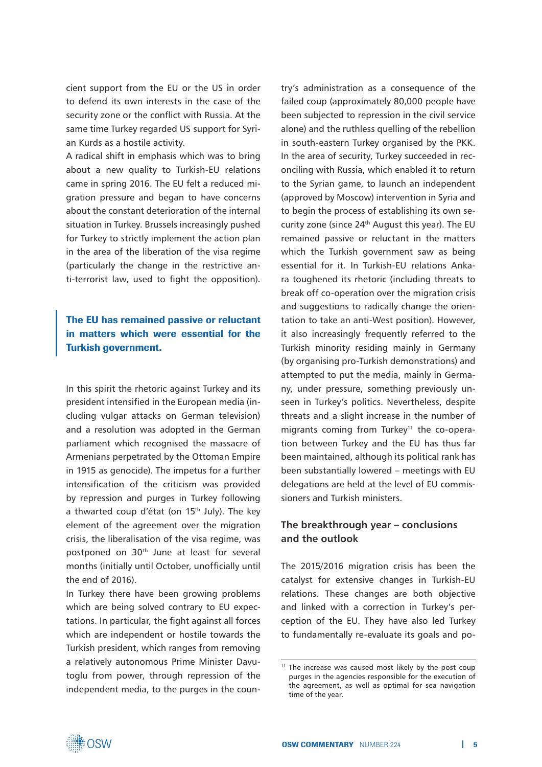cient support from the EU or the US in order to defend its own interests in the case of the security zone or the conflict with Russia. At the same time Turkey regarded US support for Syrian Kurds as a hostile activity.

A radical shift in emphasis which was to bring about a new quality to Turkish-EU relations came in spring 2016. The EU felt a reduced migration pressure and began to have concerns about the constant deterioration of the internal situation in Turkey. Brussels increasingly pushed for Turkey to strictly implement the action plan in the area of the liberation of the visa regime (particularly the change in the restrictive anti-terrorist law, used to fight the opposition).

## The EU has remained passive or reluctant in matters which were essential for the Turkish government.

In this spirit the rhetoric against Turkey and its president intensified in the European media (including vulgar attacks on German television) and a resolution was adopted in the German parliament which recognised the massacre of Armenians perpetrated by the Ottoman Empire in 1915 as genocide). The impetus for a further intensification of the criticism was provided by repression and purges in Turkey following a thwarted coup d'état (on 15<sup>th</sup> July). The key element of the agreement over the migration crisis, the liberalisation of the visa regime, was postponed on 30<sup>th</sup> June at least for several months (initially until October, unofficially until the end of 2016).

In Turkey there have been growing problems which are being solved contrary to EU expectations. In particular, the fight against all forces which are independent or hostile towards the Turkish president, which ranges from removing a relatively autonomous Prime Minister Davutoglu from power, through repression of the independent media, to the purges in the country's administration as a consequence of the failed coup (approximately 80,000 people have been subjected to repression in the civil service alone) and the ruthless quelling of the rebellion in south-eastern Turkey organised by the PKK. In the area of security, Turkey succeeded in reconciling with Russia, which enabled it to return to the Syrian game, to launch an independent (approved by Moscow) intervention in Syria and to begin the process of establishing its own security zone (since 24<sup>th</sup> August this year). The EU remained passive or reluctant in the matters which the Turkish government saw as being essential for it. In Turkish-EU relations Ankara toughened its rhetoric (including threats to break off co-operation over the migration crisis and suggestions to radically change the orientation to take an anti-West position). However, it also increasingly frequently referred to the Turkish minority residing mainly in Germany (by organising pro-Turkish demonstrations) and attempted to put the media, mainly in Germany, under pressure, something previously unseen in Turkey's politics. Nevertheless, despite threats and a slight increase in the number of migrants coming from Turkey<sup>11</sup> the co-operation between Turkey and the EU has thus far been maintained, although its political rank has been substantially lowered – meetings with EU delegations are held at the level of EU commissioners and Turkish ministers.

## **The breakthrough year – conclusions and the outlook**

The 2015/2016 migration crisis has been the catalyst for extensive changes in Turkish-EU relations. These changes are both objective and linked with a correction in Turkey's perception of the EU. They have also led Turkey to fundamentally re-evaluate its goals and po-



<sup>&</sup>lt;sup>11</sup> The increase was caused most likely by the post coup purges in the agencies responsible for the execution of the agreement, as well as optimal for sea navigation time of the year.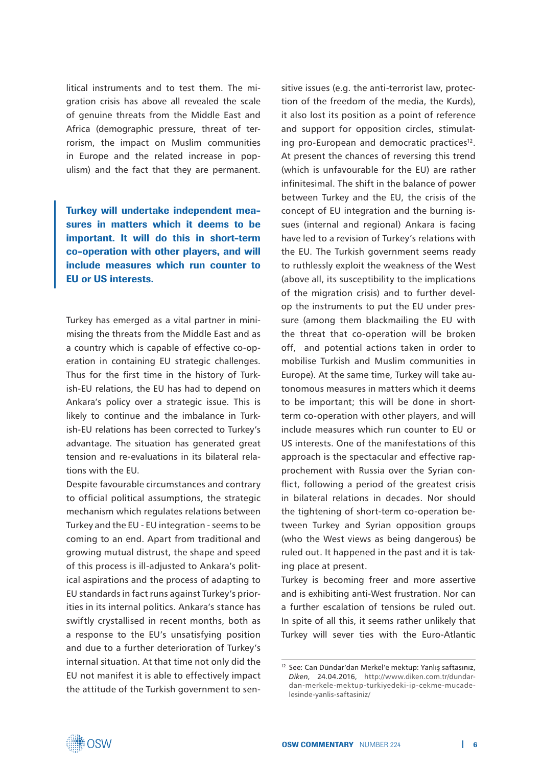litical instruments and to test them. The migration crisis has above all revealed the scale of genuine threats from the Middle East and Africa (demographic pressure, threat of terrorism, the impact on Muslim communities in Europe and the related increase in populism) and the fact that they are permanent.

Turkey will undertake independent measures in matters which it deems to be important. It will do this in short-term co-operation with other players, and will include measures which run counter to EU or US interests.

Turkey has emerged as a vital partner in minimising the threats from the Middle East and as a country which is capable of effective co-operation in containing EU strategic challenges. Thus for the first time in the history of Turkish-EU relations, the EU has had to depend on Ankara's policy over a strategic issue. This is likely to continue and the imbalance in Turkish-EU relations has been corrected to Turkey's advantage. The situation has generated great tension and re-evaluations in its bilateral relations with the EU.

Despite favourable circumstances and contrary to official political assumptions, the strategic mechanism which regulates relations between Turkey and the EU - EU integration - seems to be coming to an end. Apart from traditional and growing mutual distrust, the shape and speed of this process is ill-adjusted to Ankara's political aspirations and the process of adapting to EU standards in fact runs against Turkey's priorities in its internal politics. Ankara's stance has swiftly crystallised in recent months, both as a response to the EU's unsatisfying position and due to a further deterioration of Turkey's internal situation. At that time not only did the EU not manifest it is able to effectively impact the attitude of the Turkish government to sen-

sitive issues (e.g. the anti-terrorist law, protection of the freedom of the media, the Kurds), it also lost its position as a point of reference and support for opposition circles, stimulating pro-European and democratic practices<sup>12</sup>. At present the chances of reversing this trend (which is unfavourable for the EU) are rather infinitesimal. The shift in the balance of power between Turkey and the EU, the crisis of the concept of EU integration and the burning issues (internal and regional) Ankara is facing have led to a revision of Turkey's relations with the EU. The Turkish government seems ready to ruthlessly exploit the weakness of the West (above all, its susceptibility to the implications of the migration crisis) and to further develop the instruments to put the EU under pressure (among them blackmailing the EU with the threat that co-operation will be broken off, and potential actions taken in order to mobilise Turkish and Muslim communities in Europe). At the same time, Turkey will take autonomous measures in matters which it deems to be important; this will be done in shortterm co-operation with other players, and will include measures which run counter to EU or US interests. One of the manifestations of this approach is the spectacular and effective rapprochement with Russia over the Syrian conflict, following a period of the greatest crisis in bilateral relations in decades. Nor should the tightening of short-term co-operation between Turkey and Syrian opposition groups (who the West views as being dangerous) be ruled out. It happened in the past and it is taking place at present.

Turkey is becoming freer and more assertive and is exhibiting anti-West frustration. Nor can a further escalation of tensions be ruled out. In spite of all this, it seems rather unlikely that Turkey will sever ties with the Euro-Atlantic

<sup>12</sup> See: Can Dündar'dan Merkel'e mektup: Yanlış saftasınız, *Diken*, 24.04.2016, http://www.diken.com.tr/dundardan-merkele-mektup-turkiyedeki-ip-cekme-mucadelesinde-yanlis-saftasiniz/